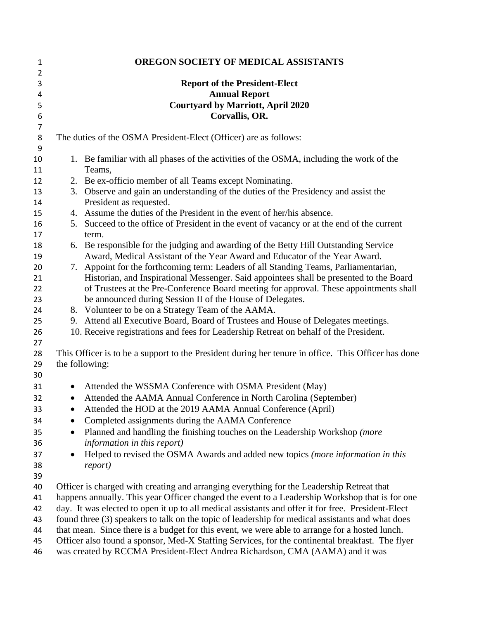| $\mathbf{1}$   |           | OREGON SOCIETY OF MEDICAL ASSISTANTS                                                                                  |
|----------------|-----------|-----------------------------------------------------------------------------------------------------------------------|
| $\overline{2}$ |           |                                                                                                                       |
| 3              |           | <b>Report of the President-Elect</b>                                                                                  |
| 4              |           | <b>Annual Report</b>                                                                                                  |
| 5              |           | <b>Courtyard by Marriott, April 2020</b>                                                                              |
| 6              |           | Corvallis, OR.                                                                                                        |
| $\overline{7}$ |           |                                                                                                                       |
| 8              |           | The duties of the OSMA President-Elect (Officer) are as follows:                                                      |
| 9              |           |                                                                                                                       |
| 10             |           | 1. Be familiar with all phases of the activities of the OSMA, including the work of the                               |
| 11             |           | Teams,                                                                                                                |
| 12             |           | 2. Be ex-officio member of all Teams except Nominating.                                                               |
| 13<br>14       |           | 3. Observe and gain an understanding of the duties of the Presidency and assist the<br>President as requested.        |
| 15             |           | 4. Assume the duties of the President in the event of her/his absence.                                                |
| 16             |           | 5. Succeed to the office of President in the event of vacancy or at the end of the current                            |
| 17             |           | term.                                                                                                                 |
| 18             |           | 6. Be responsible for the judging and awarding of the Betty Hill Outstanding Service                                  |
| 19             |           | Award, Medical Assistant of the Year Award and Educator of the Year Award.                                            |
| 20             |           | 7. Appoint for the forthcoming term: Leaders of all Standing Teams, Parliamentarian,                                  |
| 21             |           | Historian, and Inspirational Messenger. Said appointees shall be presented to the Board                               |
| 22             |           | of Trustees at the Pre-Conference Board meeting for approval. These appointments shall                                |
| 23             |           | be announced during Session II of the House of Delegates.                                                             |
| 24             |           | 8. Volunteer to be on a Strategy Team of the AAMA.                                                                    |
| 25             |           | 9. Attend all Executive Board, Board of Trustees and House of Delegates meetings.                                     |
| 26             |           | 10. Receive registrations and fees for Leadership Retreat on behalf of the President.                                 |
| 27             |           |                                                                                                                       |
| 28<br>29       |           | This Officer is to be a support to the President during her tenure in office. This Officer has done<br>the following: |
| 30             |           |                                                                                                                       |
| 31             |           | Attended the WSSMA Conference with OSMA President (May)                                                               |
| 32             | $\bullet$ | Attended the AAMA Annual Conference in North Carolina (September)                                                     |
| 33             |           | Attended the HOD at the 2019 AAMA Annual Conference (April)                                                           |
| 34             |           | Completed assignments during the AAMA Conference                                                                      |
| 35             | $\bullet$ | Planned and handling the finishing touches on the Leadership Workshop (more                                           |
| 36             |           | information in this report)                                                                                           |
| 37             |           | Helped to revised the OSMA Awards and added new topics (more information in this                                      |
| 38             |           | <i>report</i> )                                                                                                       |
| 39             |           |                                                                                                                       |
| 40             |           | Officer is charged with creating and arranging everything for the Leadership Retreat that                             |
| 41             |           | happens annually. This year Officer changed the event to a Leadership Workshop that is for one                        |
| 42             |           | day. It was elected to open it up to all medical assistants and offer it for free. President-Elect                    |
| 43             |           | found three (3) speakers to talk on the topic of leadership for medical assistants and what does                      |
| 44             |           | that mean. Since there is a budget for this event, we were able to arrange for a hosted lunch.                        |
| 45             |           | Officer also found a sponsor, Med-X Staffing Services, for the continental breakfast. The flyer                       |

was created by RCCMA President-Elect Andrea Richardson, CMA (AAMA) and it was